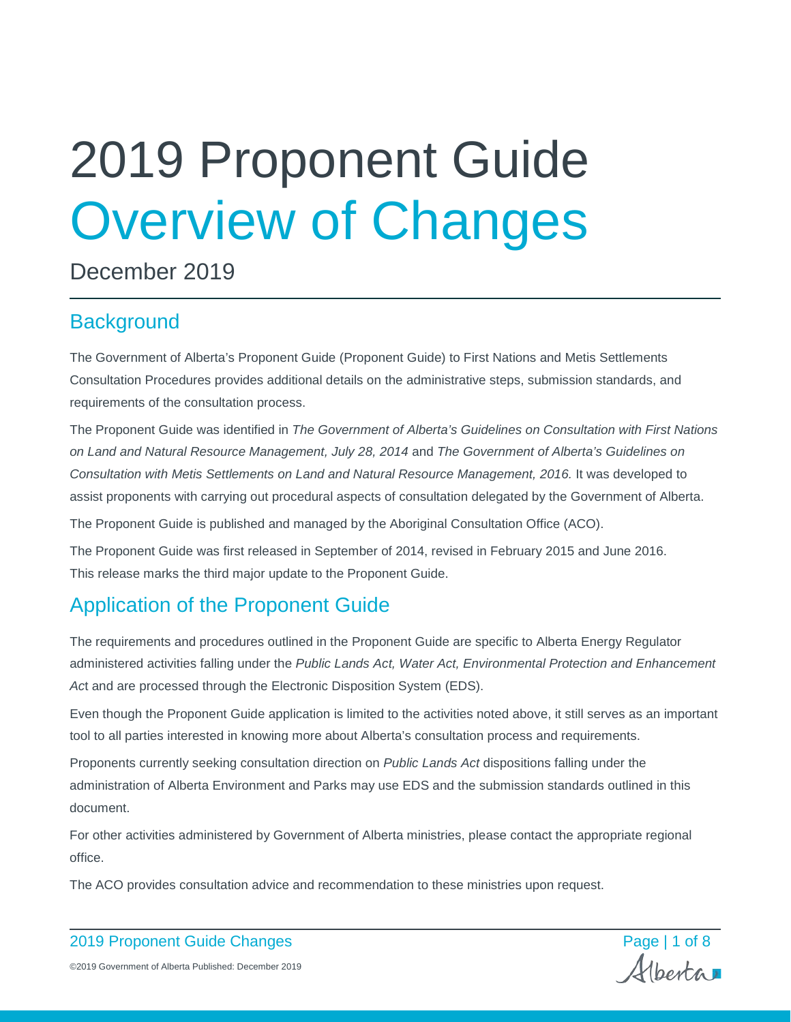# 2019 Proponent Guide Overview of Changes

December 2019

# **Background**

The Government of Alberta's Proponent Guide (Proponent Guide) to First Nations and Metis Settlements Consultation Procedures provides additional details on the administrative steps, submission standards, and requirements of the consultation process.

The Proponent Guide was identified in *The Government of Alberta's Guidelines on Consultation with First Nations on Land and Natural Resource Management, July 28, 2014* and *The Government of Alberta's Guidelines on Consultation with Metis Settlements on Land and Natural Resource Management, 2016.* It was developed to assist proponents with carrying out procedural aspects of consultation delegated by the Government of Alberta.

The Proponent Guide is published and managed by the Aboriginal Consultation Office (ACO).

The Proponent Guide was first released in September of 2014, revised in February 2015 and June 2016. This release marks the third major update to the Proponent Guide.

# Application of the Proponent Guide

The requirements and procedures outlined in the Proponent Guide are specific to Alberta Energy Regulator administered activities falling under the *Public Lands Act, Water Act, Environmental Protection and Enhancement Ac*t and are processed through the Electronic Disposition System (EDS).

Even though the Proponent Guide application is limited to the activities noted above, it still serves as an important tool to all parties interested in knowing more about Alberta's consultation process and requirements.

Proponents currently seeking consultation direction on *Public Lands Act* dispositions falling under the administration of Alberta Environment and Parks may use EDS and the submission standards outlined in this document.

For other activities administered by Government of Alberta ministries, please contact the appropriate regional office.

The ACO provides consultation advice and recommendation to these ministries upon request.

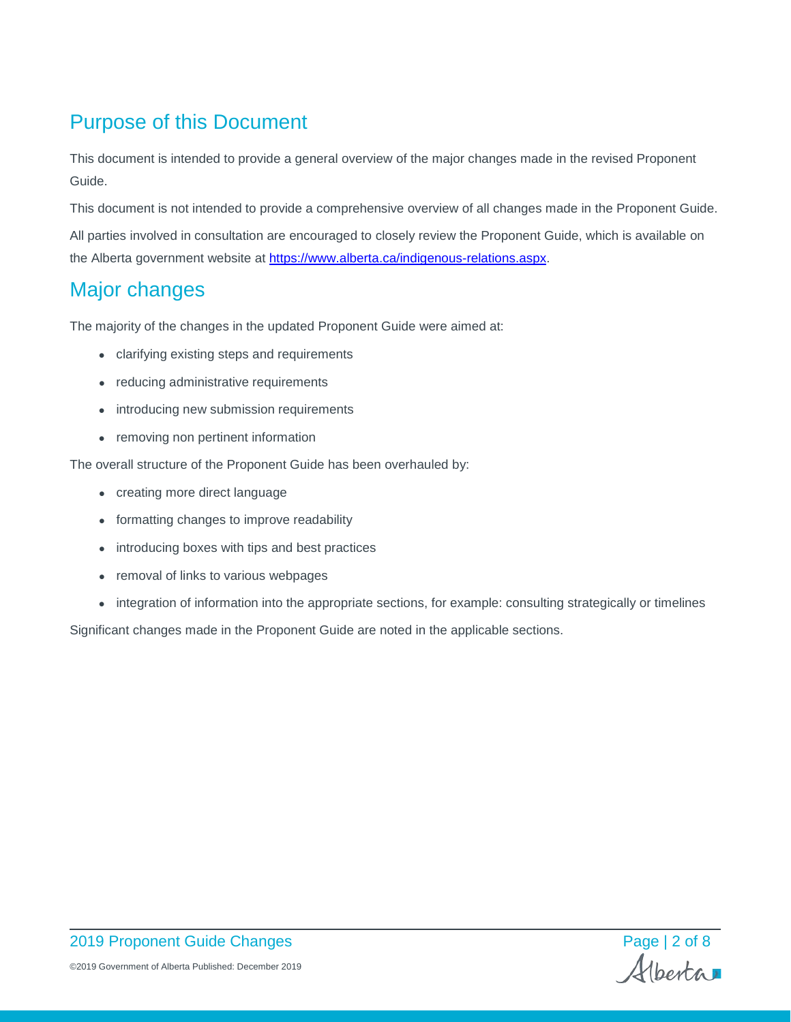# Purpose of this Document

This document is intended to provide a general overview of the major changes made in the revised Proponent Guide.

This document is not intended to provide a comprehensive overview of all changes made in the Proponent Guide. All parties involved in consultation are encouraged to closely review the Proponent Guide, which is available on the Alberta government website at [https://www.alberta.ca/indigenous-relations.aspx.](https://www.alberta.ca/indigenous-relations.aspx)

# Major changes

The majority of the changes in the updated Proponent Guide were aimed at:

- clarifying existing steps and requirements
- reducing administrative requirements
- introducing new submission requirements
- removing non pertinent information

The overall structure of the Proponent Guide has been overhauled by:

- creating more direct language
- formatting changes to improve readability
- introducing boxes with tips and best practices
- removal of links to various webpages
- integration of information into the appropriate sections, for example: consulting strategically or timelines

Significant changes made in the Proponent Guide are noted in the applicable sections.

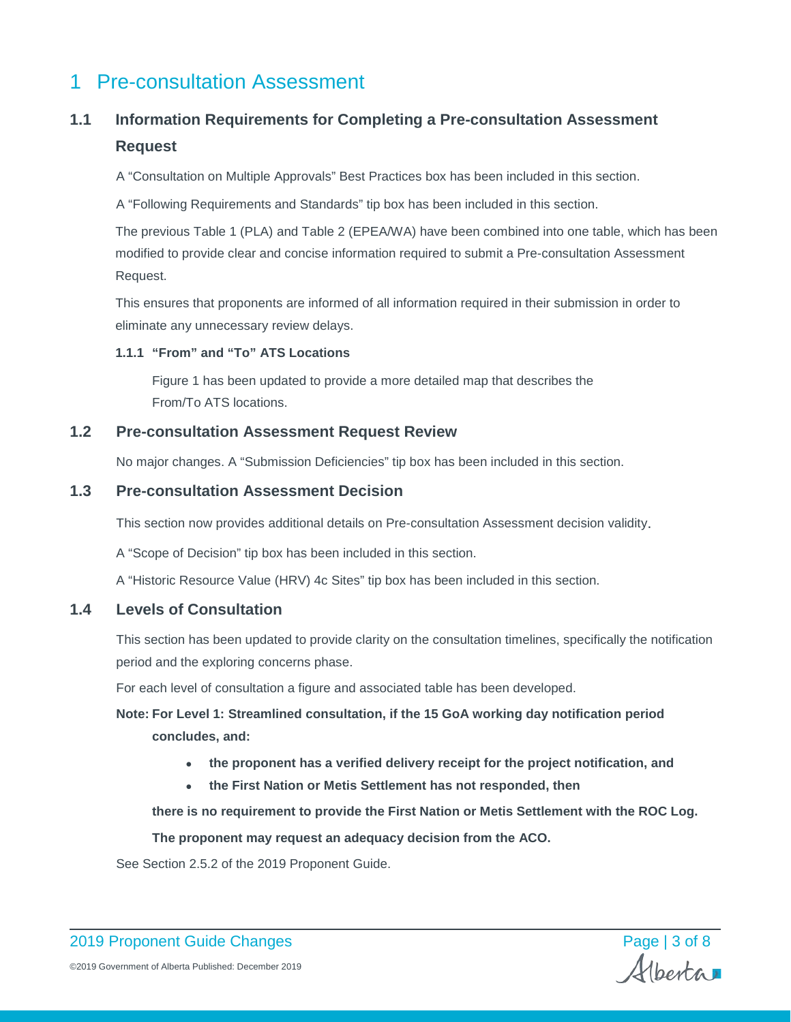# 1 Pre-consultation Assessment

# **1.1 Information Requirements for Completing a Pre-consultation Assessment Request**

A "Consultation on Multiple Approvals" Best Practices box has been included in this section.

A "Following Requirements and Standards" tip box has been included in this section.

The previous Table 1 (PLA) and Table 2 (EPEA/WA) have been combined into one table, which has been modified to provide clear and concise information required to submit a Pre-consultation Assessment Request.

This ensures that proponents are informed of all information required in their submission in order to eliminate any unnecessary review delays.

#### **1.1.1 "From" and "To" ATS Locations**

Figure 1 has been updated to provide a more detailed map that describes the From/To ATS locations.

## **1.2 Pre-consultation Assessment Request Review**

No major changes. A "Submission Deficiencies" tip box has been included in this section.

# **1.3 Pre-consultation Assessment Decision**

This section now provides additional details on Pre-consultation Assessment decision validity.

A "Scope of Decision" tip box has been included in this section.

A "Historic Resource Value (HRV) 4c Sites" tip box has been included in this section.

# **1.4 Levels of Consultation**

This section has been updated to provide clarity on the consultation timelines, specifically the notification period and the exploring concerns phase.

For each level of consultation a figure and associated table has been developed.

**Note: For Level 1: Streamlined consultation, if the 15 GoA working day notification period concludes, and:**

- **the proponent has a verified delivery receipt for the project notification, and**
- **the First Nation or Metis Settlement has not responded, then**

**there is no requirement to provide the First Nation or Metis Settlement with the ROC Log.** 

**The proponent may request an adequacy decision from the ACO.**

See Section 2.5.2 of the 2019 Proponent Guide.

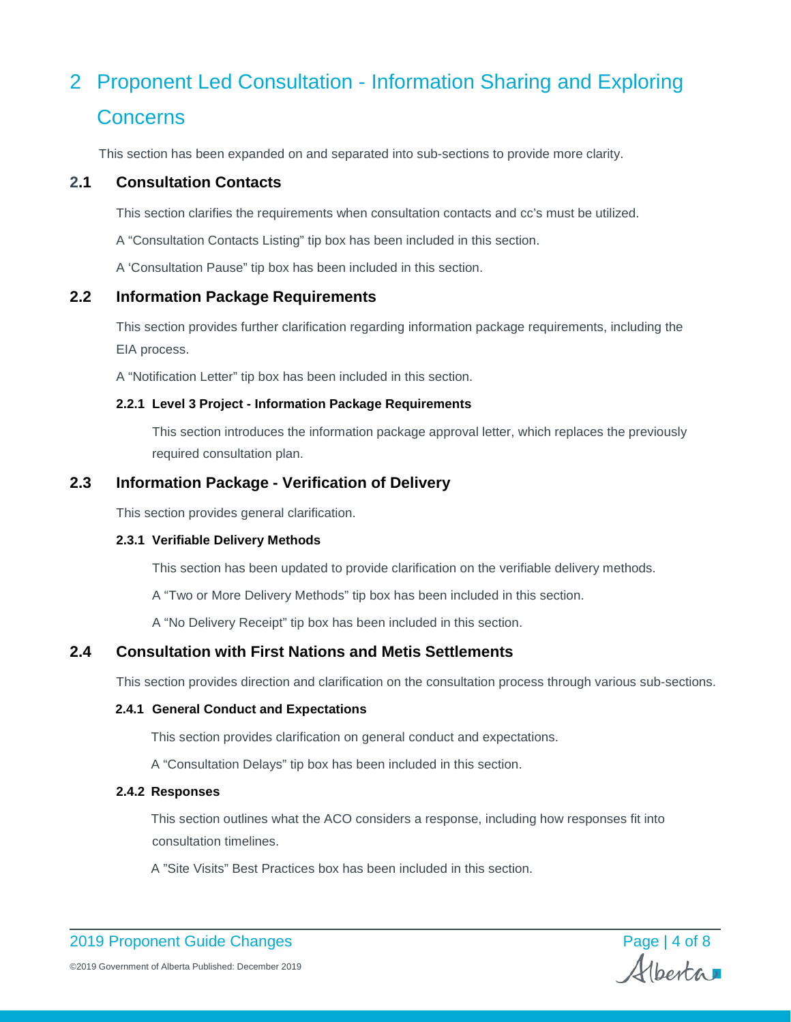# 2 Proponent Led Consultation - Information Sharing and Exploring **Concerns**

This section has been expanded on and separated into sub-sections to provide more clarity.

## **2.1 Consultation Contacts**

This section clarifies the requirements when consultation contacts and cc's must be utilized.

A "Consultation Contacts Listing" tip box has been included in this section.

A 'Consultation Pause" tip box has been included in this section.

#### **2.2 Information Package Requirements**

This section provides further clarification regarding information package requirements, including the EIA process.

A "Notification Letter" tip box has been included in this section.

#### **2.2.1 Level 3 Project - Information Package Requirements**

This section introduces the information package approval letter, which replaces the previously required consultation plan.

## **2.3 Information Package - Verification of Delivery**

This section provides general clarification.

#### **2.3.1 Verifiable Delivery Methods**

This section has been updated to provide clarification on the verifiable delivery methods.

A "Two or More Delivery Methods" tip box has been included in this section.

A "No Delivery Receipt" tip box has been included in this section.

# **2.4 Consultation with First Nations and Metis Settlements**

This section provides direction and clarification on the consultation process through various sub-sections.

## **2.4.1 General Conduct and Expectations**

This section provides clarification on general conduct and expectations.

A "Consultation Delays" tip box has been included in this section.

#### **2.4.2 Responses**

This section outlines what the ACO considers a response, including how responses fit into consultation timelines.

A "Site Visits" Best Practices box has been included in this section.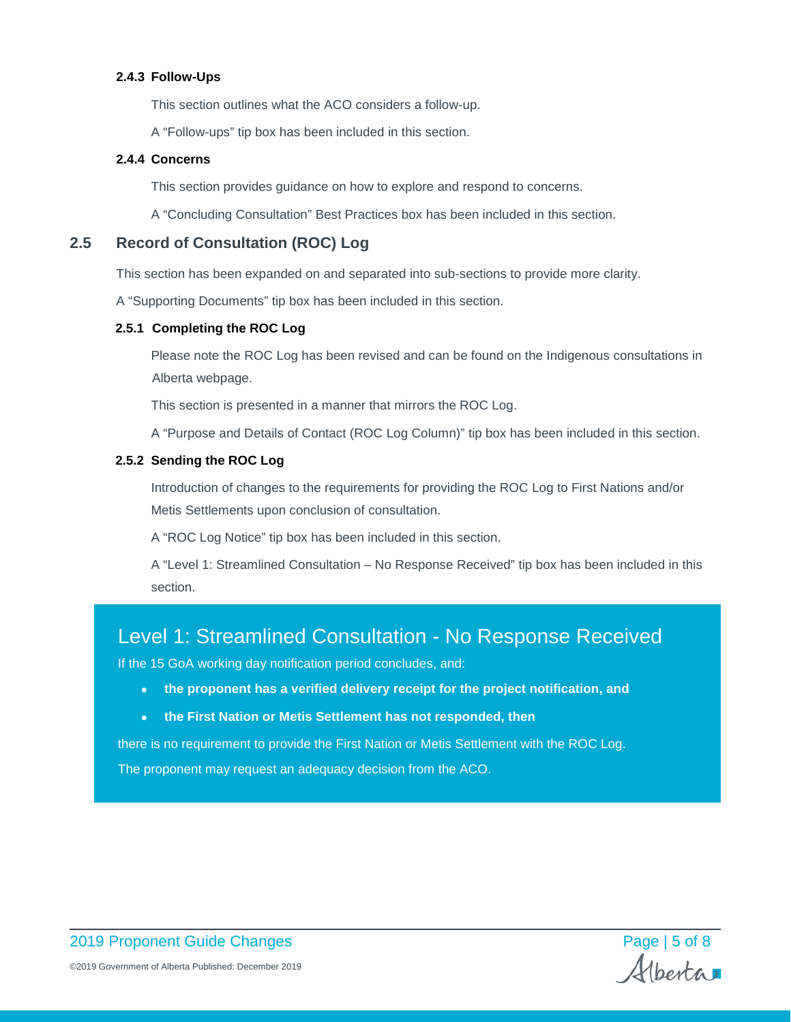#### **2.4.3 Follow-Ups**

This section outlines what the ACO considers a follow-up.

A "Follow-ups" tip box has been included in this section.

#### **2.4.4 Concerns**

This section provides guidance on how to explore and respond to concerns.

A "Concluding Consultation" Best Practices box has been included in this section.

# **2.5 Record of Consultation (ROC) Log**

This section has been expanded on and separated into sub-sections to provide more clarity.

A "Supporting Documents" tip box has been included in this section.

#### **2.5.1 Completing the ROC Log**

Please note the ROC Log has been revised and can be found on the Indigenous consultations in Alberta webpage.

This section is presented in a manner that mirrors the ROC Log.

A "Purpose and Details of Contact (ROC Log Column)" tip box has been included in this section.

#### **2.5.2 Sending the ROC Log**

Introduction of changes to the requirements for providing the ROC Log to First Nations and/or Metis Settlements upon conclusion of consultation.

A "ROC Log Notice" tip box has been included in this section.

A "Level 1: Streamlined Consultation – No Response Received" tip box has been included in this section.

# Level 1: Streamlined Consultation - No Response Received

If the 15 GoA working day notification period concludes, and:

- **the proponent has a verified delivery receipt for the project notification, and**
- **the First Nation or Metis Settlement has not responded, then**

there is no requirement to provide the First Nation or Metis Settlement with the ROC Log.

The proponent may request an adequacy decision from the ACO.

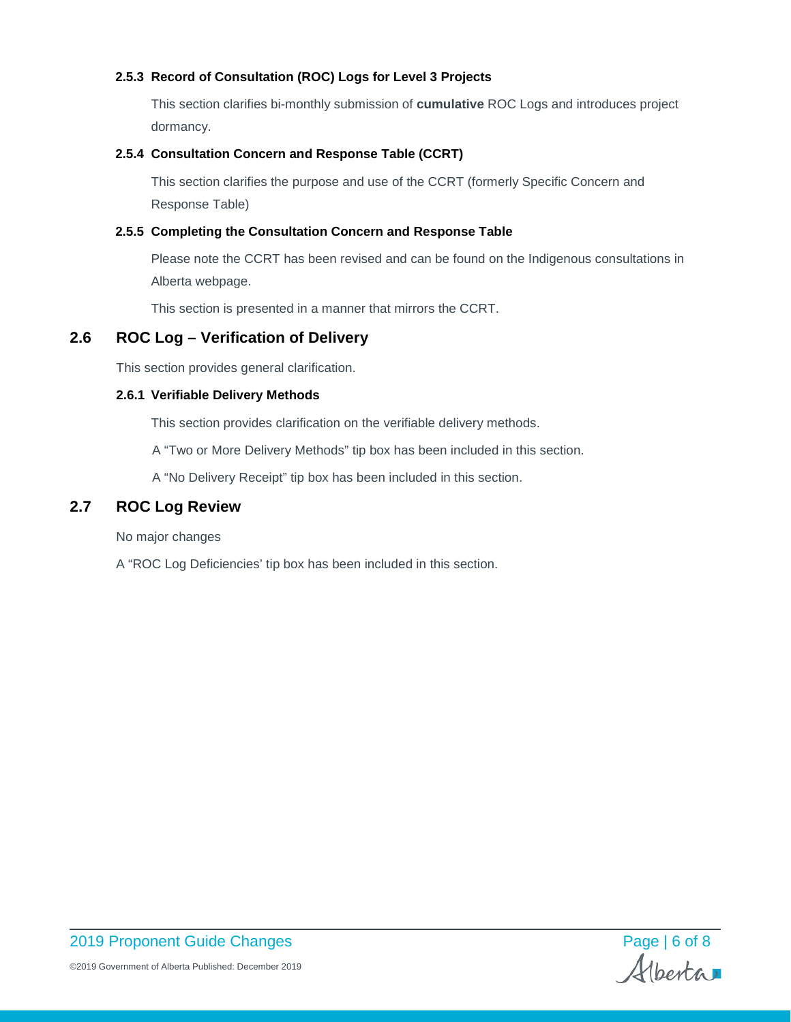#### **2.5.3 Record of Consultation (ROC) Logs for Level 3 Projects**

This section clarifies bi-monthly submission of **cumulative** ROC Logs and introduces project dormancy.

#### **2.5.4 Consultation Concern and Response Table (CCRT)**

This section clarifies the purpose and use of the CCRT (formerly Specific Concern and Response Table)

#### **2.5.5 Completing the Consultation Concern and Response Table**

Please note the CCRT has been revised and can be found on the Indigenous consultations in Alberta webpage.

This section is presented in a manner that mirrors the CCRT.

# **2.6 ROC Log – Verification of Delivery**

This section provides general clarification.

#### **2.6.1 Verifiable Delivery Methods**

This section provides clarification on the verifiable delivery methods.

A "Two or More Delivery Methods" tip box has been included in this section.

A "No Delivery Receipt" tip box has been included in this section.

## **2.7 ROC Log Review**

No major changes

A "ROC Log Deficiencies' tip box has been included in this section.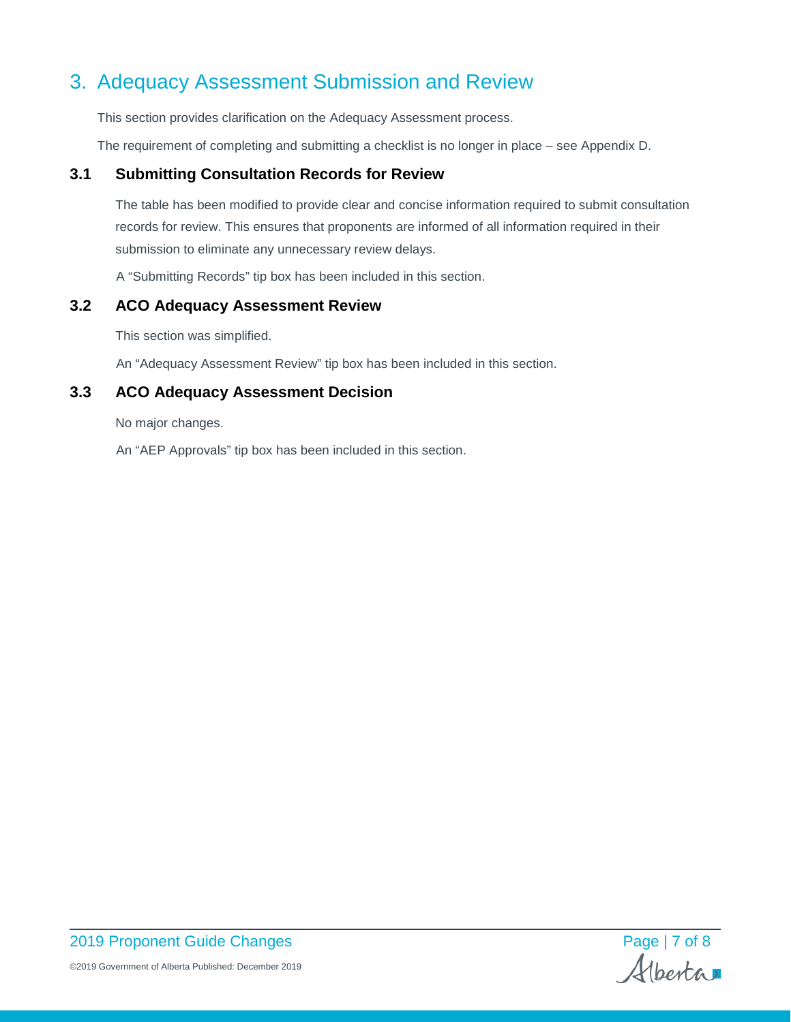# 3. Adequacy Assessment Submission and Review

This section provides clarification on the Adequacy Assessment process.

The requirement of completing and submitting a checklist is no longer in place – see Appendix D.

### **3.1 Submitting Consultation Records for Review**

The table has been modified to provide clear and concise information required to submit consultation records for review. This ensures that proponents are informed of all information required in their submission to eliminate any unnecessary review delays.

A "Submitting Records" tip box has been included in this section.

#### **3.2 ACO Adequacy Assessment Review**

This section was simplified.

An "Adequacy Assessment Review" tip box has been included in this section.

#### **3.3 ACO Adequacy Assessment Decision**

No major changes.

An "AEP Approvals" tip box has been included in this section.